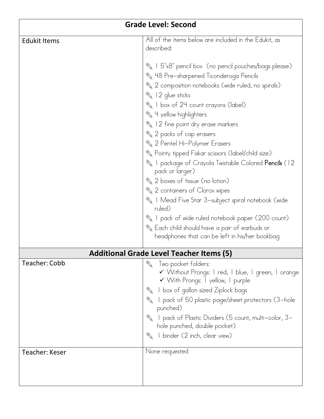| <b>Grade Level: Second</b>                      |                                                                                                                                                                                                                                                                                                                                                                                                                                                                                                                                                                                                                                                                                                                                                     |
|-------------------------------------------------|-----------------------------------------------------------------------------------------------------------------------------------------------------------------------------------------------------------------------------------------------------------------------------------------------------------------------------------------------------------------------------------------------------------------------------------------------------------------------------------------------------------------------------------------------------------------------------------------------------------------------------------------------------------------------------------------------------------------------------------------------------|
| <b>Edukit Items</b>                             | All of the items below are included in the Edukit, as<br>described:                                                                                                                                                                                                                                                                                                                                                                                                                                                                                                                                                                                                                                                                                 |
|                                                 | %   5"x8" pencil box (no pencil pouches/bags please)<br>Name H8 Pre-sharpened Ticonderoga Pencils<br>2 composition notebooks (wide ruled, no spirals)<br>12 glue sticks<br>I box of 24 count crayons (label)<br>4 yellow highlighters<br>12 fine point dry erase markers<br>2 packs of cap erasers<br>2 Pentel Hi-Polymer Erasers<br>Reinty tipped Fiskar scissors (label/child size)<br>I package of Crayola Twistable Colored Pencils (12<br>pack or larger)<br>2 boxes of tissue (no lotion)<br>2 containers of Clorox wipes<br>I Mead Five Star 3-subject spiral notebook (wide<br>ruled)<br>I pack of wide ruled notebook paper (200 count)<br>& Each child should have a pair of earbuds or<br>headphones that can be left in his/her bookbag |
| <b>Additional Grade Level Teacher Items (5)</b> |                                                                                                                                                                                                                                                                                                                                                                                                                                                                                                                                                                                                                                                                                                                                                     |
| <b>Teacher: Cobb</b>                            | Two pocket folders:<br>✔ Without Prongs: I red, I blue, I green, I orange<br>V With Prongs: I yellow, I purple<br>I box of gallon sized Ziplock bags<br><b>Report</b><br>I pack of 50 plastic page/sheet protectors (3-hole<br><b>A</b><br>punched)<br>pack of Plastic Dividers (5 count, multi-color, 3-<br><b>Report</b><br>hole punched, double pocket)<br>I binder (2 inch, clear view)                                                                                                                                                                                                                                                                                                                                                         |
| <b>Teacher: Keser</b>                           | None requested                                                                                                                                                                                                                                                                                                                                                                                                                                                                                                                                                                                                                                                                                                                                      |